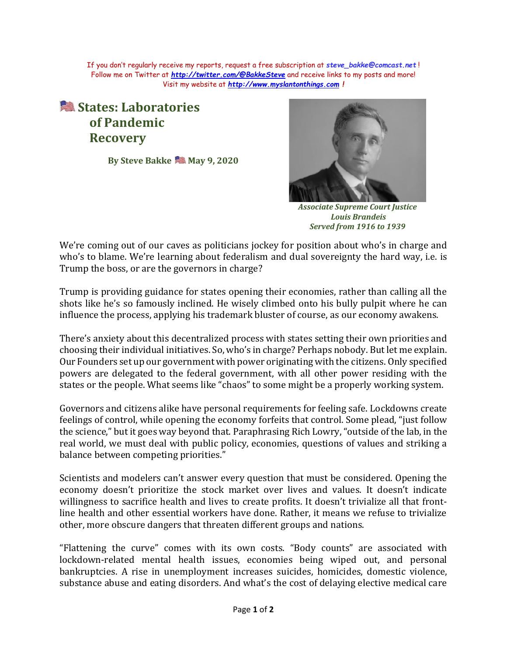If you don't regularly receive my reports, request a free subscription at *[steve\\_bakke@comcast.net](mailto:steve_bakke@comcast.net)* ! Follow me on Twitter at *<http://twitter.com/@BakkeSteve>* and receive links to my posts and more! Visit my website at *[http://www.myslantonthings.com](http://www.myslantonthings.com/) !*

## **States: Laboratories of Pandemic Recovery**

**By Steve Bakke May 9, 2020**



*Associate Supreme Court Justice Louis Brandeis Served from 1916 to 1939*

We're coming out of our caves as politicians jockey for position about who's in charge and who's to blame. We're learning about federalism and dual sovereignty the hard way, i.e. is Trump the boss, or are the governors in charge?

Trump is providing guidance for states opening their economies, rather than calling all the shots like he's so famously inclined. He wisely climbed onto his bully pulpit where he can influence the process, applying his trademark bluster of course, as our economy awakens.

There's anxiety about this decentralized process with states setting their own priorities and choosing their individual initiatives. So, who's in charge? Perhaps nobody. But let me explain. Our Founders set up our government with power originating with the citizens. Only specified powers are delegated to the federal government, with all other power residing with the states or the people. What seems like "chaos" to some might be a properly working system.

Governors and citizens alike have personal requirements for feeling safe. Lockdowns create feelings of control, while opening the economy forfeits that control. Some plead, "just follow the science," but it goes way beyond that. Paraphrasing Rich Lowry, "outside of the lab, in the real world, we must deal with public policy, economies, questions of values and striking a balance between competing priorities."

Scientists and modelers can't answer every question that must be considered. Opening the economy doesn't prioritize the stock market over lives and values. It doesn't indicate willingness to sacrifice health and lives to create profits. It doesn't trivialize all that frontline health and other essential workers have done. Rather, it means we refuse to trivialize other, more obscure dangers that threaten different groups and nations.

"Flattening the curve" comes with its own costs. "Body counts" are associated with lockdown-related mental health issues, economies being wiped out, and personal bankruptcies. A rise in unemployment increases suicides, homicides, domestic violence, substance abuse and eating disorders. And what's the cost of delaying elective medical care